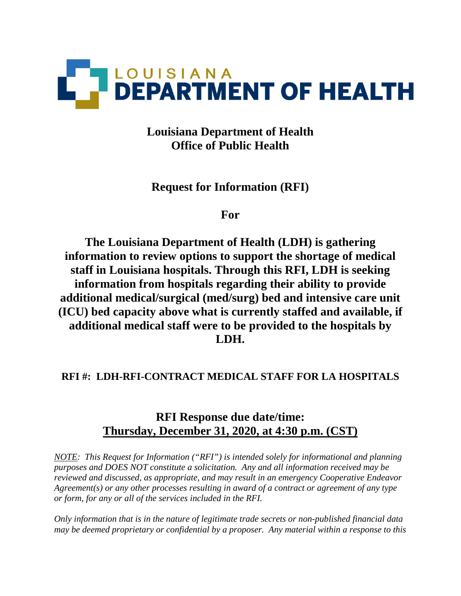

**Louisiana Department of Health Office of Public Health**

**Request for Information (RFI)**

**For**

**The Louisiana Department of Health (LDH) is gathering information to review options to support the shortage of medical staff in Louisiana hospitals. Through this RFI, LDH is seeking information from hospitals regarding their ability to provide additional medical/surgical (med/surg) bed and intensive care unit (ICU) bed capacity above what is currently staffed and available, if additional medical staff were to be provided to the hospitals by LDH.** 

# **RFI #: LDH-RFI-CONTRACT MEDICAL STAFF FOR LA HOSPITALS**

# **RFI Response due date/time: Thursday, December 31, 2020, at 4:30 p.m. (CST)**

*NOTE: This Request for Information ("RFI") is intended solely for informational and planning purposes and DOES NOT constitute a solicitation. Any and all information received may be reviewed and discussed, as appropriate, and may result in an emergency Cooperative Endeavor Agreement(s) or any other processes resulting in award of a contract or agreement of any type or form, for any or all of the services included in the RFI.* 

*Only information that is in the nature of legitimate trade secrets or non-published financial data may be deemed proprietary or confidential by a proposer. Any material within a response to this*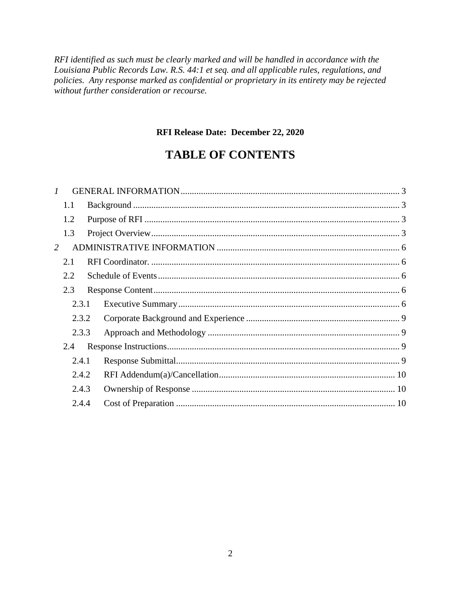RFI identified as such must be clearly marked and will be handled in accordance with the Louisiana Public Records Law. R.S. 44:1 et seq. and all applicable rules, regulations, and policies. Any response marked as confidential or proprietary in its entirety may be rejected without further consideration or recourse.

### RFI Release Date: December 22, 2020

# **TABLE OF CONTENTS**

| $\mathcal{I}$ |  |                                                             |  |
|---------------|--|-------------------------------------------------------------|--|
| 1.1           |  |                                                             |  |
| 1.2           |  |                                                             |  |
| 1.3           |  |                                                             |  |
|               |  |                                                             |  |
| 2.1           |  |                                                             |  |
| 2.2           |  |                                                             |  |
| 2.3           |  |                                                             |  |
|               |  |                                                             |  |
|               |  |                                                             |  |
|               |  |                                                             |  |
| 2.4           |  |                                                             |  |
|               |  |                                                             |  |
|               |  |                                                             |  |
|               |  |                                                             |  |
|               |  |                                                             |  |
| 2             |  | 2.3.1<br>2.3.2<br>2.3.3<br>2.4.1<br>2.4.2<br>2.4.3<br>2.4.4 |  |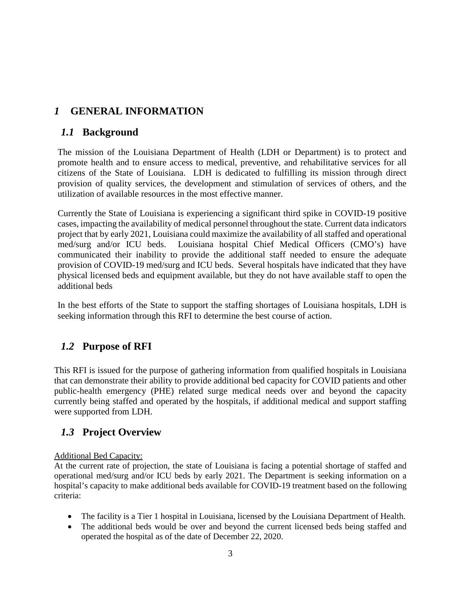# <span id="page-2-0"></span>*1* **GENERAL INFORMATION**

# <span id="page-2-1"></span>*1.1* **Background**

The mission of the Louisiana Department of Health (LDH or Department) is to protect and promote health and to ensure access to medical, preventive, and rehabilitative services for all citizens of the State of Louisiana. LDH is dedicated to fulfilling its mission through direct provision of quality services, the development and stimulation of services of others, and the utilization of available resources in the most effective manner.

Currently the State of Louisiana is experiencing a significant third spike in COVID-19 positive cases, impacting the availability of medical personnel throughout the state. Current data indicators project that by early 2021, Louisiana could maximize the availability of all staffed and operational med/surg and/or ICU beds. Louisiana hospital Chief Medical Officers (CMO's) have Louisiana hospital Chief Medical Officers (CMO's) have communicated their inability to provide the additional staff needed to ensure the adequate provision of COVID-19 med/surg and ICU beds. Several hospitals have indicated that they have physical licensed beds and equipment available, but they do not have available staff to open the additional beds

In the best efforts of the State to support the staffing shortages of Louisiana hospitals, LDH is seeking information through this RFI to determine the best course of action.

# <span id="page-2-2"></span>*1.2* **Purpose of RFI**

This RFI is issued for the purpose of gathering information from qualified hospitals in Louisiana that can demonstrate their ability to provide additional bed capacity for COVID patients and other public-health emergency (PHE) related surge medical needs over and beyond the capacity currently being staffed and operated by the hospitals, if additional medical and support staffing were supported from LDH.

# <span id="page-2-3"></span>*1.3* **Project Overview**

### Additional Bed Capacity:

At the current rate of projection, the state of Louisiana is facing a potential shortage of staffed and operational med/surg and/or ICU beds by early 2021. The Department is seeking information on a hospital's capacity to make additional beds available for COVID-19 treatment based on the following criteria:

- The facility is a Tier 1 hospital in Louisiana, licensed by the Louisiana Department of Health.
- The additional beds would be over and beyond the current licensed beds being staffed and operated the hospital as of the date of December 22, 2020.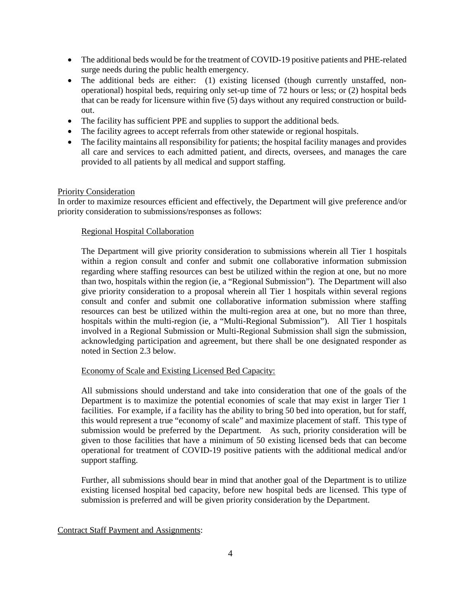- The additional beds would be for the treatment of COVID-19 positive patients and PHE-related surge needs during the public health emergency.
- The additional beds are either: (1) existing licensed (though currently unstaffed, nonoperational) hospital beds, requiring only set-up time of 72 hours or less; or (2) hospital beds that can be ready for licensure within five (5) days without any required construction or buildout.
- The facility has sufficient PPE and supplies to support the additional beds.
- The facility agrees to accept referrals from other statewide or regional hospitals.
- The facility maintains all responsibility for patients; the hospital facility manages and provides all care and services to each admitted patient, and directs, oversees, and manages the care provided to all patients by all medical and support staffing.

#### Priority Consideration

In order to maximize resources efficient and effectively, the Department will give preference and/or priority consideration to submissions/responses as follows:

#### Regional Hospital Collaboration

The Department will give priority consideration to submissions wherein all Tier 1 hospitals within a region consult and confer and submit one collaborative information submission regarding where staffing resources can best be utilized within the region at one, but no more than two, hospitals within the region (ie, a "Regional Submission"). The Department will also give priority consideration to a proposal wherein all Tier 1 hospitals within several regions consult and confer and submit one collaborative information submission where staffing resources can best be utilized within the multi-region area at one, but no more than three, hospitals within the multi-region (ie, a "Multi-Regional Submission"). All Tier 1 hospitals involved in a Regional Submission or Multi-Regional Submission shall sign the submission, acknowledging participation and agreement, but there shall be one designated responder as noted in Section 2.3 below.

#### Economy of Scale and Existing Licensed Bed Capacity:

All submissions should understand and take into consideration that one of the goals of the Department is to maximize the potential economies of scale that may exist in larger Tier 1 facilities. For example, if a facility has the ability to bring 50 bed into operation, but for staff, this would represent a true "economy of scale" and maximize placement of staff. This type of submission would be preferred by the Department. As such, priority consideration will be given to those facilities that have a minimum of 50 existing licensed beds that can become operational for treatment of COVID-19 positive patients with the additional medical and/or support staffing.

Further, all submissions should bear in mind that another goal of the Department is to utilize existing licensed hospital bed capacity, before new hospital beds are licensed. This type of submission is preferred and will be given priority consideration by the Department.

Contract Staff Payment and Assignments: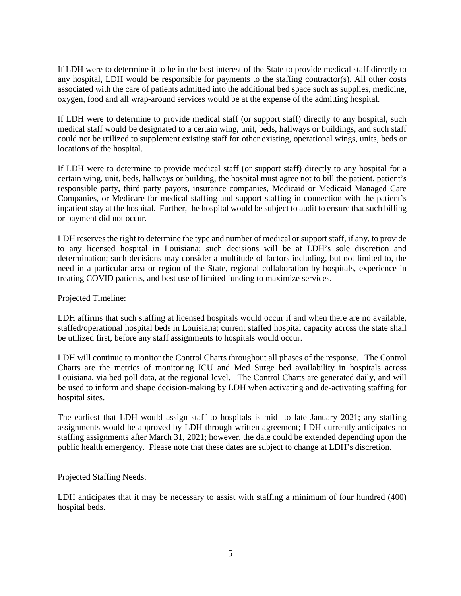If LDH were to determine it to be in the best interest of the State to provide medical staff directly to any hospital, LDH would be responsible for payments to the staffing contractor(s). All other costs associated with the care of patients admitted into the additional bed space such as supplies, medicine, oxygen, food and all wrap-around services would be at the expense of the admitting hospital.

If LDH were to determine to provide medical staff (or support staff) directly to any hospital, such medical staff would be designated to a certain wing, unit, beds, hallways or buildings, and such staff could not be utilized to supplement existing staff for other existing, operational wings, units, beds or locations of the hospital.

If LDH were to determine to provide medical staff (or support staff) directly to any hospital for a certain wing, unit, beds, hallways or building, the hospital must agree not to bill the patient, patient's responsible party, third party payors, insurance companies, Medicaid or Medicaid Managed Care Companies, or Medicare for medical staffing and support staffing in connection with the patient's inpatient stay at the hospital. Further, the hospital would be subject to audit to ensure that such billing or payment did not occur.

LDH reserves the right to determine the type and number of medical or support staff, if any, to provide to any licensed hospital in Louisiana; such decisions will be at LDH's sole discretion and determination; such decisions may consider a multitude of factors including, but not limited to, the need in a particular area or region of the State, regional collaboration by hospitals, experience in treating COVID patients, and best use of limited funding to maximize services.

#### Projected Timeline:

LDH affirms that such staffing at licensed hospitals would occur if and when there are no available, staffed/operational hospital beds in Louisiana; current staffed hospital capacity across the state shall be utilized first, before any staff assignments to hospitals would occur.

LDH will continue to monitor the Control Charts throughout all phases of the response. The Control Charts are the metrics of monitoring ICU and Med Surge bed availability in hospitals across Louisiana, via bed poll data, at the regional level. The Control Charts are generated daily, and will be used to inform and shape decision-making by LDH when activating and de-activating staffing for hospital sites.

The earliest that LDH would assign staff to hospitals is mid- to late January 2021; any staffing assignments would be approved by LDH through written agreement; LDH currently anticipates no staffing assignments after March 31, 2021; however, the date could be extended depending upon the public health emergency. Please note that these dates are subject to change at LDH's discretion.

#### Projected Staffing Needs:

LDH anticipates that it may be necessary to assist with staffing a minimum of four hundred (400) hospital beds.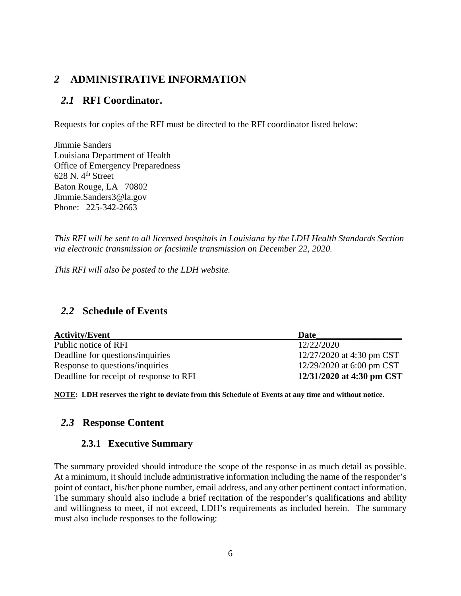# <span id="page-5-0"></span>*2* **ADMINISTRATIVE INFORMATION**

## <span id="page-5-1"></span>*2.1* **RFI Coordinator.**

Requests for copies of the RFI must be directed to the RFI coordinator listed below:

Jimmie Sanders Louisiana Department of Health Office of Emergency Preparedness  $628$  N.  $4<sup>th</sup>$  Street Baton Rouge, LA 70802 Jimmie.Sanders3@la.gov Phone: 225-342-2663

*This RFI will be sent to all licensed hospitals in Louisiana by the LDH Health Standards Section via electronic transmission or facsimile transmission on December 22, 2020.* 

*This RFI will also be posted to the LDH website.*

### <span id="page-5-2"></span>*2.2* **Schedule of Events**

| <b>Activity/Event</b>                   | Date                      |  |
|-----------------------------------------|---------------------------|--|
| Public notice of RFI                    | 12/22/2020                |  |
| Deadline for questions/inquiries        | 12/27/2020 at 4:30 pm CST |  |
| Response to questions/inquiries         | 12/29/2020 at 6:00 pm CST |  |
| Deadline for receipt of response to RFI | 12/31/2020 at 4:30 pm CST |  |

**NOTE: LDH reserves the right to deviate from this Schedule of Events at any time and without notice.**

### <span id="page-5-4"></span><span id="page-5-3"></span>*2.3* **Response Content**

### **2.3.1 Executive Summary**

The summary provided should introduce the scope of the response in as much detail as possible. At a minimum, it should include administrative information including the name of the responder's point of contact, his/her phone number, email address, and any other pertinent contact information. The summary should also include a brief recitation of the responder's qualifications and ability and willingness to meet, if not exceed, LDH's requirements as included herein. The summary must also include responses to the following: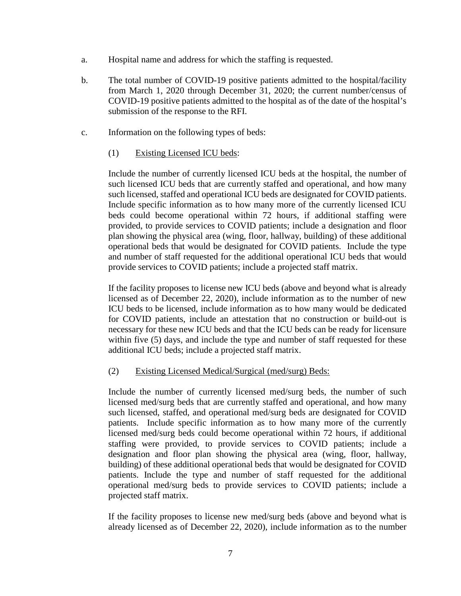- a. Hospital name and address for which the staffing is requested.
- b. The total number of COVID-19 positive patients admitted to the hospital/facility from March 1, 2020 through December 31, 2020; the current number/census of COVID-19 positive patients admitted to the hospital as of the date of the hospital's submission of the response to the RFI.
- c. Information on the following types of beds:
	- (1) Existing Licensed ICU beds:

Include the number of currently licensed ICU beds at the hospital, the number of such licensed ICU beds that are currently staffed and operational, and how many such licensed, staffed and operational ICU beds are designated for COVID patients. Include specific information as to how many more of the currently licensed ICU beds could become operational within 72 hours, if additional staffing were provided, to provide services to COVID patients; include a designation and floor plan showing the physical area (wing, floor, hallway, building) of these additional operational beds that would be designated for COVID patients. Include the type and number of staff requested for the additional operational ICU beds that would provide services to COVID patients; include a projected staff matrix.

If the facility proposes to license new ICU beds (above and beyond what is already licensed as of December 22, 2020), include information as to the number of new ICU beds to be licensed, include information as to how many would be dedicated for COVID patients, include an attestation that no construction or build-out is necessary for these new ICU beds and that the ICU beds can be ready for licensure within five (5) days, and include the type and number of staff requested for these additional ICU beds; include a projected staff matrix.

### (2) Existing Licensed Medical/Surgical (med/surg) Beds:

Include the number of currently licensed med/surg beds, the number of such licensed med/surg beds that are currently staffed and operational, and how many such licensed, staffed, and operational med/surg beds are designated for COVID patients. Include specific information as to how many more of the currently licensed med/surg beds could become operational within 72 hours, if additional staffing were provided, to provide services to COVID patients; include a designation and floor plan showing the physical area (wing, floor, hallway, building) of these additional operational beds that would be designated for COVID patients. Include the type and number of staff requested for the additional operational med/surg beds to provide services to COVID patients; include a projected staff matrix.

If the facility proposes to license new med/surg beds (above and beyond what is already licensed as of December 22, 2020), include information as to the number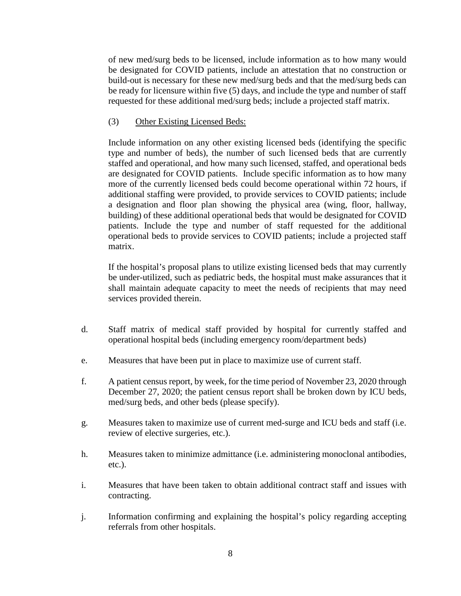of new med/surg beds to be licensed, include information as to how many would be designated for COVID patients, include an attestation that no construction or build-out is necessary for these new med/surg beds and that the med/surg beds can be ready for licensure within five (5) days, and include the type and number of staff requested for these additional med/surg beds; include a projected staff matrix.

#### (3) Other Existing Licensed Beds:

Include information on any other existing licensed beds (identifying the specific type and number of beds), the number of such licensed beds that are currently staffed and operational, and how many such licensed, staffed, and operational beds are designated for COVID patients. Include specific information as to how many more of the currently licensed beds could become operational within 72 hours, if additional staffing were provided, to provide services to COVID patients; include a designation and floor plan showing the physical area (wing, floor, hallway, building) of these additional operational beds that would be designated for COVID patients. Include the type and number of staff requested for the additional operational beds to provide services to COVID patients; include a projected staff matrix.

If the hospital's proposal plans to utilize existing licensed beds that may currently be under-utilized, such as pediatric beds, the hospital must make assurances that it shall maintain adequate capacity to meet the needs of recipients that may need services provided therein.

- d. Staff matrix of medical staff provided by hospital for currently staffed and operational hospital beds (including emergency room/department beds)
- e. Measures that have been put in place to maximize use of current staff.
- f. A patient census report, by week, for the time period of November 23, 2020 through December 27, 2020; the patient census report shall be broken down by ICU beds, med/surg beds, and other beds (please specify).
- g. Measures taken to maximize use of current med-surge and ICU beds and staff (i.e. review of elective surgeries, etc.).
- h. Measures taken to minimize admittance (i.e. administering monoclonal antibodies, etc.).
- i. Measures that have been taken to obtain additional contract staff and issues with contracting.
- j. Information confirming and explaining the hospital's policy regarding accepting referrals from other hospitals.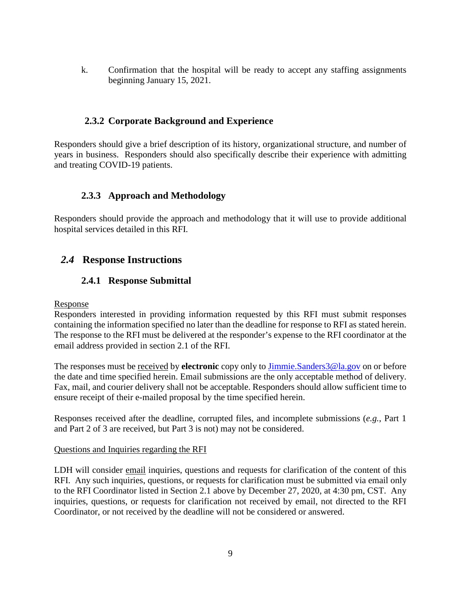k. Confirmation that the hospital will be ready to accept any staffing assignments beginning January 15, 2021.

### <span id="page-8-0"></span>**2.3.2 Corporate Background and Experience**

Responders should give a brief description of its history, organizational structure, and number of years in business. Responders should also specifically describe their experience with admitting and treating COVID-19 patients.

## <span id="page-8-1"></span>**2.3.3 Approach and Methodology**

Responders should provide the approach and methodology that it will use to provide additional hospital services detailed in this RFI.

# <span id="page-8-3"></span><span id="page-8-2"></span>*2.4* **Response Instructions**

## **2.4.1 Response Submittal**

#### Response

Responders interested in providing information requested by this RFI must submit responses containing the information specified no later than the deadline for response to RFI as stated herein. The response to the RFI must be delivered at the responder's expense to the RFI coordinator at the email address provided in section 2.1 of the RFI.

The responses must be received by **electronic** copy only to [Jimmie.Sanders3@la.gov](mailto:Jimmie.Sanders3@la.gov) on or before the date and time specified herein. Email submissions are the only acceptable method of delivery. Fax, mail, and courier delivery shall not be acceptable. Responders should allow sufficient time to ensure receipt of their e-mailed proposal by the time specified herein.

Responses received after the deadline, corrupted files, and incomplete submissions (*e.g.*, Part 1 and Part 2 of 3 are received, but Part 3 is not) may not be considered.

#### Questions and Inquiries regarding the RFI

LDH will consider email inquiries, questions and requests for clarification of the content of this RFI. Any such inquiries, questions, or requests for clarification must be submitted via email only to the RFI Coordinator listed in Section 2.1 above by December 27, 2020, at 4:30 pm, CST. Any inquiries, questions, or requests for clarification not received by email, not directed to the RFI Coordinator, or not received by the deadline will not be considered or answered.